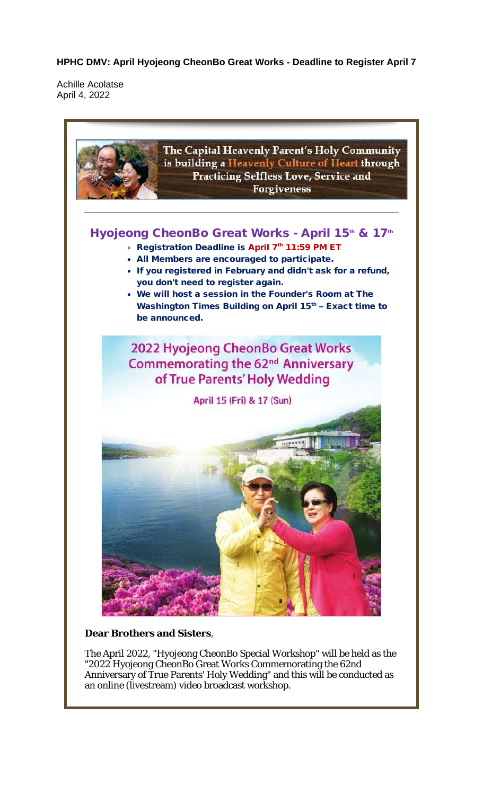**HPHC DMV: April Hyojeong CheonBo Great Works - Deadline to Register April 7**

Achille Acolatse April 4, 2022



**Dear Brothers and Sisters,**

The April 2022, "Hyojeong CheonBo Special Workshop" will be held as the "2022 Hyojeong CheonBo Great Works Commemorating the 62nd Anniversary of True Parents' Holy Wedding" and this will be conducted as an online (livestream) video broadcast workshop.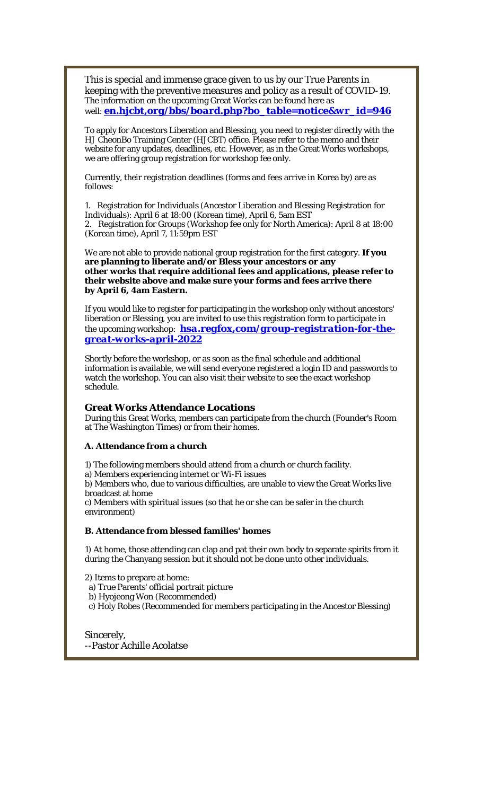This is special and immense grace given to us by our True Parents in keeping with the preventive measures and policy as a result of COVID-19. The information on the upcoming Great Works can be found here as well: *en.hjcbt,org/bbs/board.php?bo\_table=notice&wr\_id=946*

To apply for Ancestors Liberation and Blessing, you need to register directly with the HJ CheonBo Training Center (HJCBT) office. Please refer to the memo and their website for any updates, deadlines, etc. However, as in the Great Works workshops, we are offering group registration for workshop fee only.

Currently, their registration deadlines (forms and fees arrive in Korea by) are as follows:

1. Registration for Individuals (Ancestor Liberation and Blessing Registration for Individuals): April 6 at 18:00 (Korean time), April 6, 5am EST 2. Registration for Groups (Workshop fee only for North America): April 8 at 18:00 (Korean time), April 7, 11:59pm EST

We are not able to provide national group registration for the first category. **If you are planning to liberate and/or Bless your ancestors or any other works that require additional fees and applications, please refer to their website above and make sure your forms and fees arrive there by April 6, 4am Eastern.**

If you would like to register for participating in the workshop only without ancestors' liberation or Blessing, you are invited to use this registration form to participate in the upcoming workshop: *hsa.regfox,com/group-registration-for-thegreat-works-april-2022*

Shortly before the workshop, or as soon as the final schedule and additional information is available, we will send everyone registered a login ID and passwords to watch the workshop. You can also visit their website to see the exact workshop schedule.

#### **Great Works Attendance Locations**

During this Great Works, members can participate from the church (Founder's Room at The Washington Times) or from their homes.

**A. Attendance from a church**

1) The following members should attend from a church or church facility.

a) Members experiencing internet or Wi-Fi issues

b) Members who, due to various difficulties, are unable to view the Great Works live broadcast at home

c) Members with spiritual issues (so that he or she can be safer in the church environment)

**B. Attendance from blessed families' homes**

1) At home, those attending can clap and pat their own body to separate spirits from it during the Chanyang session but it should not be done unto other individuals.

2) Items to prepare at home:

a) True Parents' official portrait picture

b) Hyojeong Won (Recommended)

c) Holy Robes (Recommended for members participating in the Ancestor Blessing)

Sincerely, --Pastor Achille Acolatse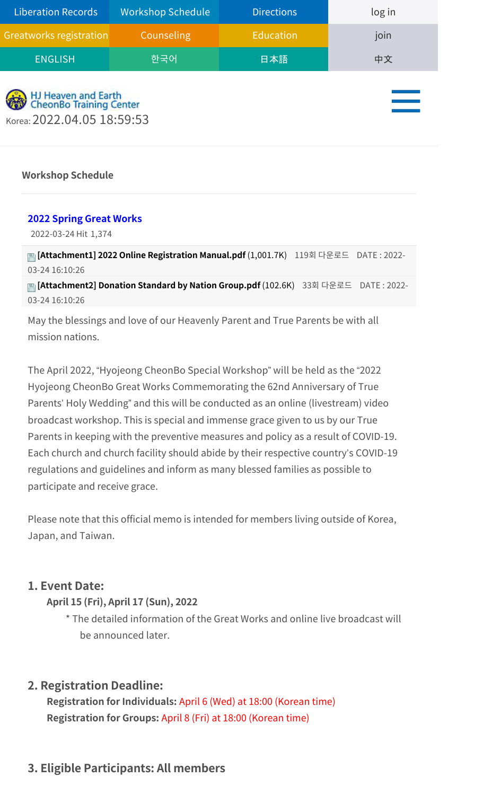| <b>Liberation Records</b> | <b>Workshop Schedule</b> | <b>Directions</b> | log in |
|---------------------------|--------------------------|-------------------|--------|
| Greatworks registration   | Counseling               | <b>Education</b>  | join   |
| <b>ENGLISH</b>            | 한국어                      | 日本語               | 中文     |
|                           |                          |                   |        |



**Workshop Schedule**

#### **2022 Spring Great Works**

2022-03-24 Hit 1,374

**[Attachment1] 2022 Online Registration Manual.pdf** (1,001.7K) 119회 다운로드 DATE : 2022- 03-24 16:10:26

**[Attachment2] Donation Standard by Nation Group.pdf** (102.6K) 33회 다운로드 DATE : 2022- 03-24 16:10:26

May the blessings and love of our Heavenly Parent and True Parents be with all mission nations.

The April 2022, "Hyojeong CheonBo Special Workshop" will be held as the "2022 Hyojeong CheonBo Great Works Commemorating the 62nd Anniversary of True Parents' Holy Wedding" and this will be conducted as an online (livestream) video broadcast workshop. This is special and immense grace given to us by our True Parents in keeping with the preventive measures and policy as a result of COVID-19. Each church and church facility should abide by their respective country's COVID-19 regulations and guidelines and inform as many blessed families as possible to participate and receive grace.

Please note that this official memo is intended for members living outside of Korea, Japan, and Taiwan.

## **1. Event Date:**

#### **April 15 (Fri), April 17 (Sun), 2022**

\* The detailed information of the Great Works and online live broadcast will be announced later.

## **2. Registration Deadline:**

**Registration for Individuals:** April 6 (Wed) at 18:00 (Korean time) **Registration for Groups:** April 8 (Fri) at 18:00 (Korean time)

## **3. Eligible Participants: All members**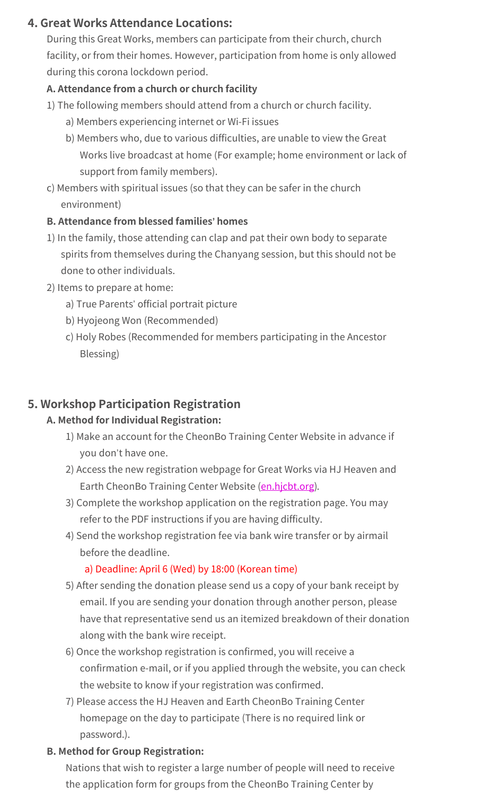## **4. Great Works Attendance Locations:**

During this Great Works, members can participate from their church, church facility, or from their homes. However, participation from home is only allowed during this corona lockdown period.

## **A. Attendance from a church or church facility**

- 1) The following members should attend from a church or church facility.
	- a) Members experiencing internet or Wi-Fi issues
	- b) Members who, due to various difficulties, are unable to view the Great Works live broadcast at home (For example; home environment or lack of support from family members).
- c) Members with spiritual issues (so that they can be safer in the church environment)

#### **B. Attendance from blessed families' homes**

- 1) In the family, those attending can clap and pat their own body to separate spirits from themselves during the Chanyang session, but this should not be done to other individuals.
- 2) Items to prepare at home:
	- a) True Parents' official portrait picture
	- b) Hyojeong Won (Recommended)
	- c) Holy Robes (Recommended for members participating in the Ancestor Blessing)

## **5. Workshop Participation Registration**

#### **A. Method for Individual Registration:**

- 1) Make an account for the CheonBo Training Center Website in advance if you don't have one.
- 2) Access the new registration webpage for Great Works via HJ Heaven and Earth CheonBo Training Center Website (en.hicbt.org).
- 3) Complete the workshop application on the registration page. You may refer to the PDF instructions if you are having difficulty.
- 4) Send the workshop registration fee via bank wire transfer or by airmail before the deadline.

## a) Deadline: April 6 (Wed) by 18:00 (Korean time)

- 5) After sending the donation please send us a copy of your bank receipt by email. If you are sending your donation through another person, please have that representative send us an itemized breakdown of their donation along with the bank wire receipt.
- 6) Once the workshop registration is confirmed, you will receive a confirmation e-mail, or if you applied through the website, you can check the website to know if your registration was confirmed.
- 7) Please access the HJ Heaven and Earth CheonBo Training Center homepage on the day to participate (There is no required link or password.).

#### **B. Method for Group Registration:**

Nations that wish to register a large number of people will need to receive the application form for groups from the CheonBo Training Center by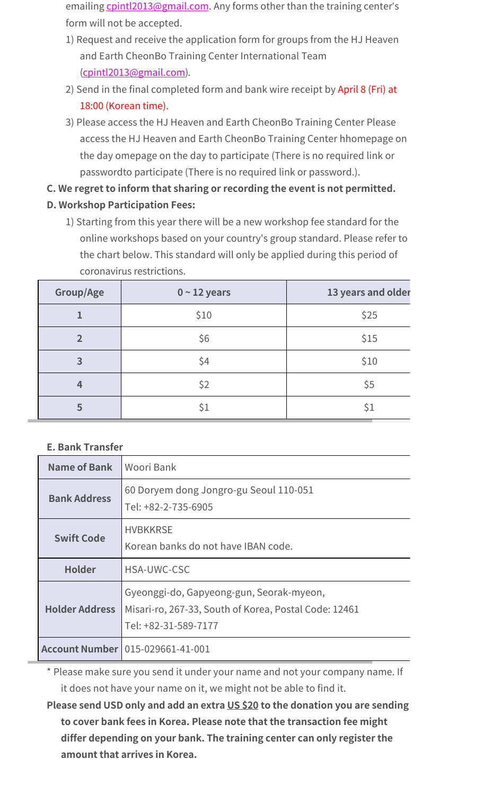emailing cpintl2013@gmail.com. Any forms other than the training center's form will not be accepted.

- 1) Request and receive the application form for groups from the HJ Heaven and Earth CheonBo Training Center International Team (cpintl2013@gmail.com).
- 2) Send in the final completed form and bank wire receipt by April 8 (Fri) at 18:00 (Korean time).
- 3) Please access the HJ Heaven and Earth CheonBo Training Center Please access the HJ Heaven and Earth CheonBo Training Center hhomepage on the day omepage on the day to participate (There is no required link or passwordto participate (There is no required link or password.).

**C. We regret to inform that sharing or recording the event is not permitted.**

- **D. Workshop Participation Fees:**
	- 1) Starting from this year there will be a new workshop fee standard for the online workshops based on your country's group standard. Please refer to the chart below. This standard will only be applied during this period of coronavirus restrictions.

| Group/Age      | $0 - 12$ years | 13 years and older |
|----------------|----------------|--------------------|
|                | \$10           | \$25               |
| $\overline{2}$ | \$6            | \$15               |
| 3              | \$4            | \$10               |
| 4              | \$2            | \$5                |
| 5              | \$1            | \$1                |

## **E. Bank Transfer**

| Name of Bank          | Woori Bank                                                                                                                |  |
|-----------------------|---------------------------------------------------------------------------------------------------------------------------|--|
| <b>Bank Address</b>   | 60 Doryem dong Jongro-gu Seoul 110-051<br>Tel: +82-2-735-6905                                                             |  |
| <b>Swift Code</b>     | <b>HVBKKRSE</b><br>Korean banks do not have IBAN code.                                                                    |  |
| <b>Holder</b>         | <b>HSA-UWC-CSC</b>                                                                                                        |  |
| <b>Holder Address</b> | Gyeonggi-do, Gapyeong-gun, Seorak-myeon,<br>Misari-ro, 267-33, South of Korea, Postal Code: 12461<br>Tel: +82-31-589-7177 |  |
|                       | <b>Account Number   015-029661-41-001</b>                                                                                 |  |

\* Please make sure you send it under your name and not your company name. If it does not have your name on it, we might not be able to find it.

**Please send USD only and add an extra US \$20 to the donation you are sending to cover bank fees in Korea. Please note that the transaction fee might differ depending on your bank. The training center can only register the amount that arrives in Korea.**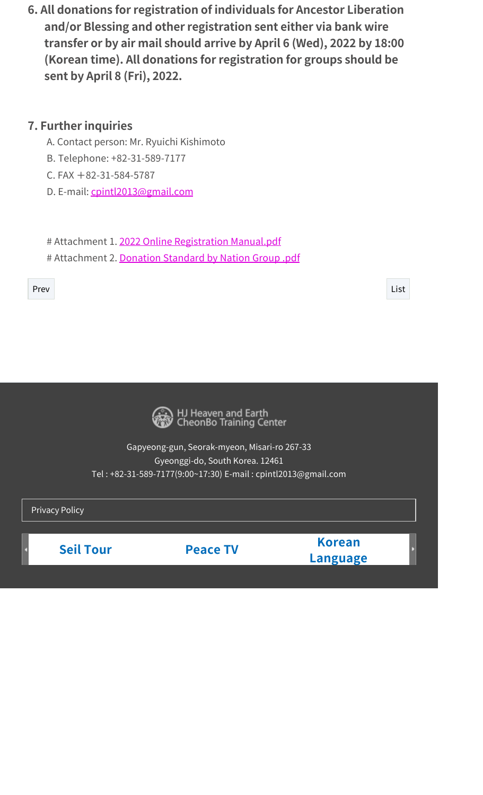**6. All donations for registration of individuals for Ancestor Liberation and/or Blessing and other registration sent either via bank wire transfer or by air mail should arrive by April 6 (Wed), 2022 by 18:00 (Korean time). All donations for registration for groups should be sent by April 8 (Fri), 2022.**

## **7. Further inquiries**

- A. Contact person: Mr. Ryuichi Kishimoto
- B. Telephone: +82-31-589-7177
- $C.$  FAX  $+82-31-584-5787$
- D. E-mail: cpintl2013@gmail.com

# Attachment 1. 2022 Online Registration Manual.pdf # Attachment 2. Donation Standard by Nation Group .pdf

Prev List



HJ Heaven and Earth<br>CheonBo Training Center

Gapyeong-gun, Seorak-myeon, Misari-ro 267-33 Gyeonggi-do, South Korea. 12461 Tel : +82-31-589-7177(9:00~17:30) E-mail : cpintl2013@gmail.com

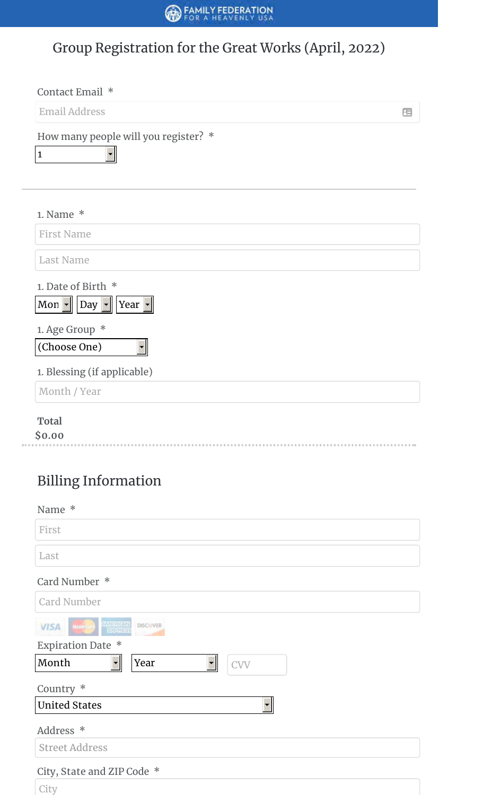# Group Registration for the Great Works (April, 2022)

| Contact Email *                                                               |   |
|-------------------------------------------------------------------------------|---|
| <b>Email Address</b>                                                          | 屈 |
| How many people will you register? *<br>$\mathbf{1}$                          |   |
| 1. Name $*$                                                                   |   |
| <b>First Name</b>                                                             |   |
| <b>Last Name</b>                                                              |   |
| 1. Date of Birth *<br>Mon $\mathbf{r}$   Day $\mathbf{r}$   Year $\mathbf{r}$ |   |
| 1. Age Group *<br>(Choose One)                                                |   |
| 1. Blessing (if applicable)                                                   |   |
| Month / Year                                                                  |   |
| <b>Total</b><br>\$0.00                                                        |   |
| <b>Billing Information</b>                                                    |   |
| Name *                                                                        |   |
| First                                                                         |   |
| Last                                                                          |   |
| Card Number *                                                                 |   |
| <b>Card Number</b>                                                            |   |
|                                                                               |   |

| AMERICAN<br>EXARES<br><b>DISCOVER</b><br><b>VISA</b><br><b>MasterCard</b>        |
|----------------------------------------------------------------------------------|
| <b>Expiration Date *</b>                                                         |
| Month<br>Year<br><b>CVV</b><br>$\overline{\phantom{a}}$ $\overline{\phantom{a}}$ |
| Country *                                                                        |
| <b>United States</b>                                                             |
| Address *                                                                        |
| <b>Street Address</b>                                                            |
| City, State and ZIP Code *                                                       |
| City                                                                             |